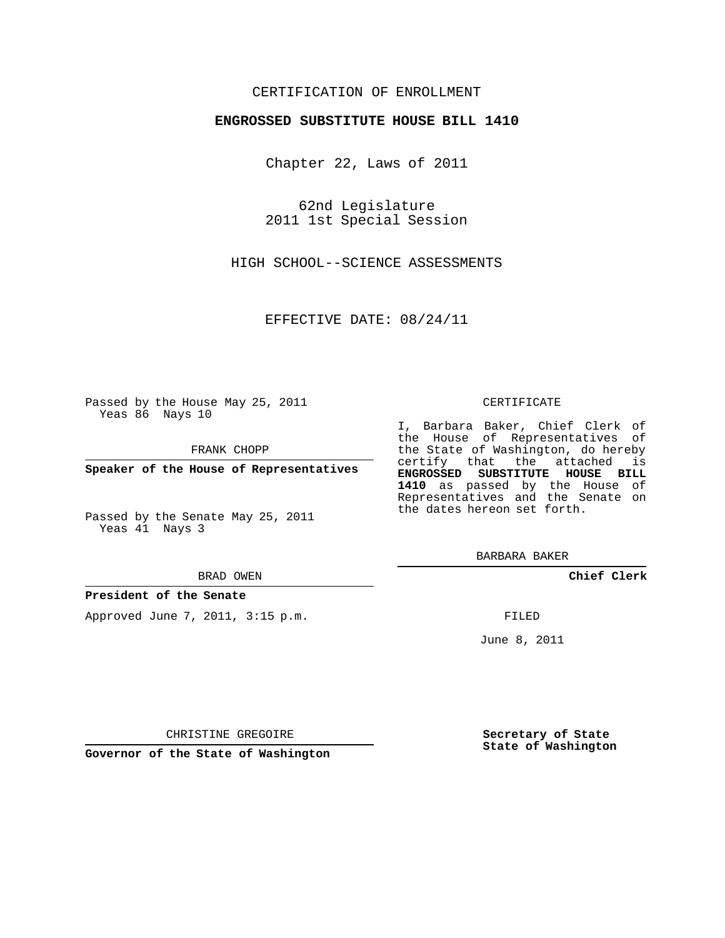## CERTIFICATION OF ENROLLMENT

### **ENGROSSED SUBSTITUTE HOUSE BILL 1410**

Chapter 22, Laws of 2011

62nd Legislature 2011 1st Special Session

HIGH SCHOOL--SCIENCE ASSESSMENTS

EFFECTIVE DATE: 08/24/11

Passed by the House May 25, 2011 Yeas 86 Nays 10

FRANK CHOPP

**Speaker of the House of Representatives**

Passed by the Senate May 25, 2011 Yeas 41 Nays 3

#### BRAD OWEN

#### **President of the Senate**

Approved June 7, 2011, 3:15 p.m.

#### CERTIFICATE

I, Barbara Baker, Chief Clerk of the House of Representatives of the State of Washington, do hereby certify that the attached is **ENGROSSED SUBSTITUTE HOUSE BILL 1410** as passed by the House of Representatives and the Senate on the dates hereon set forth.

BARBARA BAKER

**Chief Clerk**

FILED

June 8, 2011

**Secretary of State State of Washington**

CHRISTINE GREGOIRE

**Governor of the State of Washington**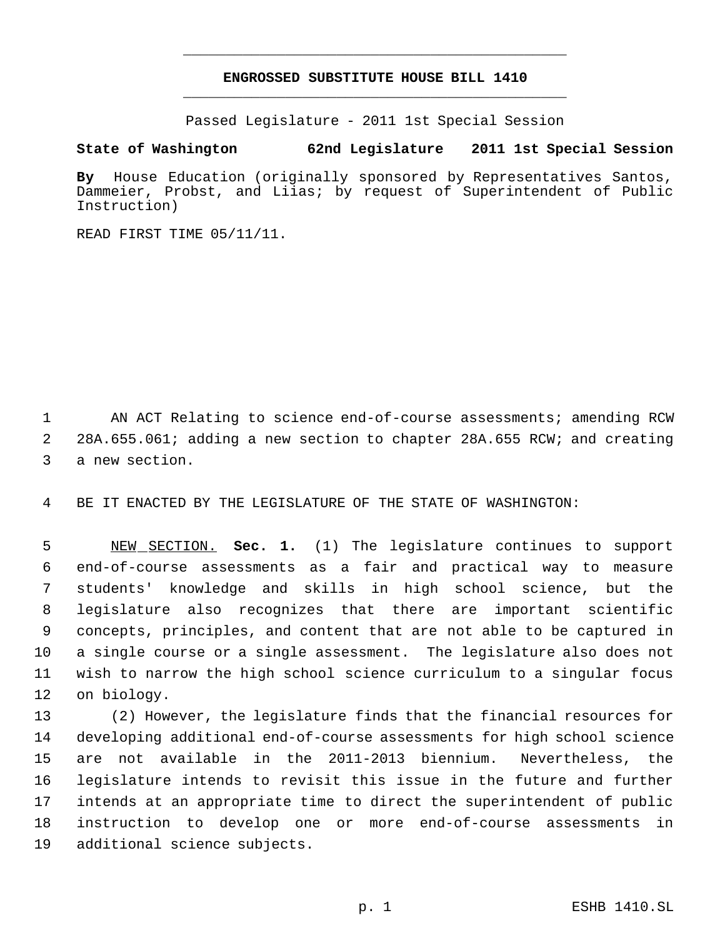# **ENGROSSED SUBSTITUTE HOUSE BILL 1410** \_\_\_\_\_\_\_\_\_\_\_\_\_\_\_\_\_\_\_\_\_\_\_\_\_\_\_\_\_\_\_\_\_\_\_\_\_\_\_\_\_\_\_\_\_

\_\_\_\_\_\_\_\_\_\_\_\_\_\_\_\_\_\_\_\_\_\_\_\_\_\_\_\_\_\_\_\_\_\_\_\_\_\_\_\_\_\_\_\_\_

Passed Legislature - 2011 1st Special Session

# **State of Washington 62nd Legislature 2011 1st Special Session**

**By** House Education (originally sponsored by Representatives Santos, Dammeier, Probst, and Liias; by request of Superintendent of Public Instruction)

READ FIRST TIME 05/11/11.

1 AN ACT Relating to science end-of-course assessments; amending RCW 28A.655.061; adding a new section to chapter 28A.655 RCW; and creating a new section.

BE IT ENACTED BY THE LEGISLATURE OF THE STATE OF WASHINGTON:

 NEW SECTION. **Sec. 1.** (1) The legislature continues to support end-of-course assessments as a fair and practical way to measure students' knowledge and skills in high school science, but the legislature also recognizes that there are important scientific concepts, principles, and content that are not able to be captured in a single course or a single assessment. The legislature also does not wish to narrow the high school science curriculum to a singular focus on biology.

 (2) However, the legislature finds that the financial resources for developing additional end-of-course assessments for high school science are not available in the 2011-2013 biennium. Nevertheless, the legislature intends to revisit this issue in the future and further intends at an appropriate time to direct the superintendent of public instruction to develop one or more end-of-course assessments in additional science subjects.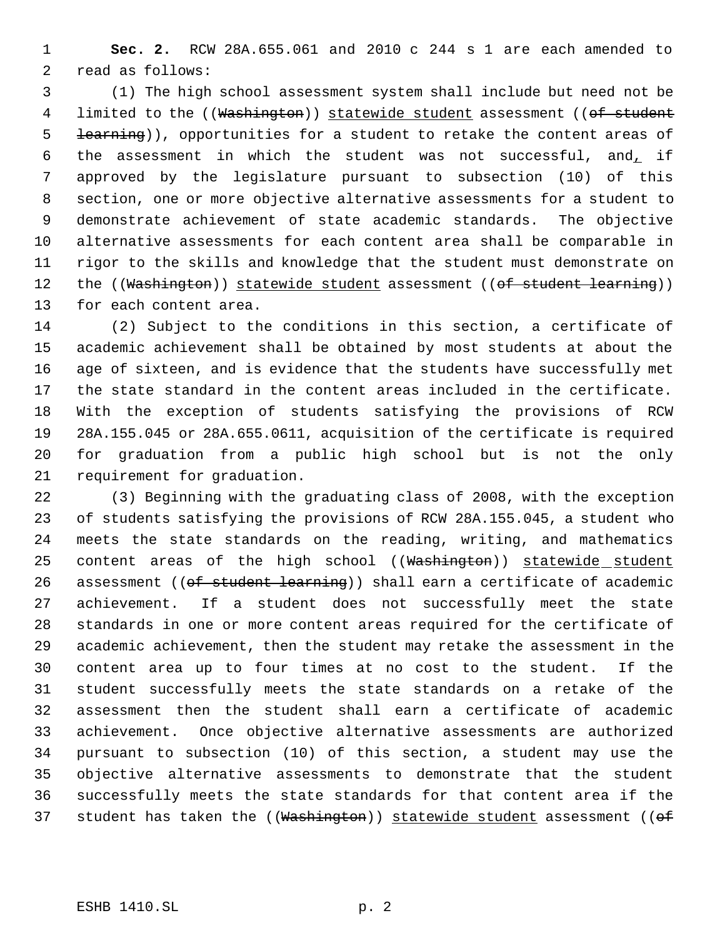**Sec. 2.** RCW 28A.655.061 and 2010 c 244 s 1 are each amended to read as follows:

 (1) The high school assessment system shall include but need not be 4 limited to the ((Washington)) statewide student assessment ((of student **learning**)), opportunities for a student to retake the content areas of 6 the assessment in which the student was not successful, and, if approved by the legislature pursuant to subsection (10) of this section, one or more objective alternative assessments for a student to demonstrate achievement of state academic standards. The objective alternative assessments for each content area shall be comparable in rigor to the skills and knowledge that the student must demonstrate on 12 the ((Washington)) statewide student assessment ((of student learning)) for each content area.

 (2) Subject to the conditions in this section, a certificate of academic achievement shall be obtained by most students at about the age of sixteen, and is evidence that the students have successfully met the state standard in the content areas included in the certificate. With the exception of students satisfying the provisions of RCW 28A.155.045 or 28A.655.0611, acquisition of the certificate is required for graduation from a public high school but is not the only requirement for graduation.

 (3) Beginning with the graduating class of 2008, with the exception of students satisfying the provisions of RCW 28A.155.045, a student who meets the state standards on the reading, writing, and mathematics 25 content areas of the high school ((Washington)) statewide student 26 assessment ((of student learning)) shall earn a certificate of academic achievement. If a student does not successfully meet the state standards in one or more content areas required for the certificate of academic achievement, then the student may retake the assessment in the content area up to four times at no cost to the student. If the student successfully meets the state standards on a retake of the assessment then the student shall earn a certificate of academic achievement. Once objective alternative assessments are authorized pursuant to subsection (10) of this section, a student may use the objective alternative assessments to demonstrate that the student successfully meets the state standards for that content area if the 37 student has taken the ((Washington)) statewide student assessment ((of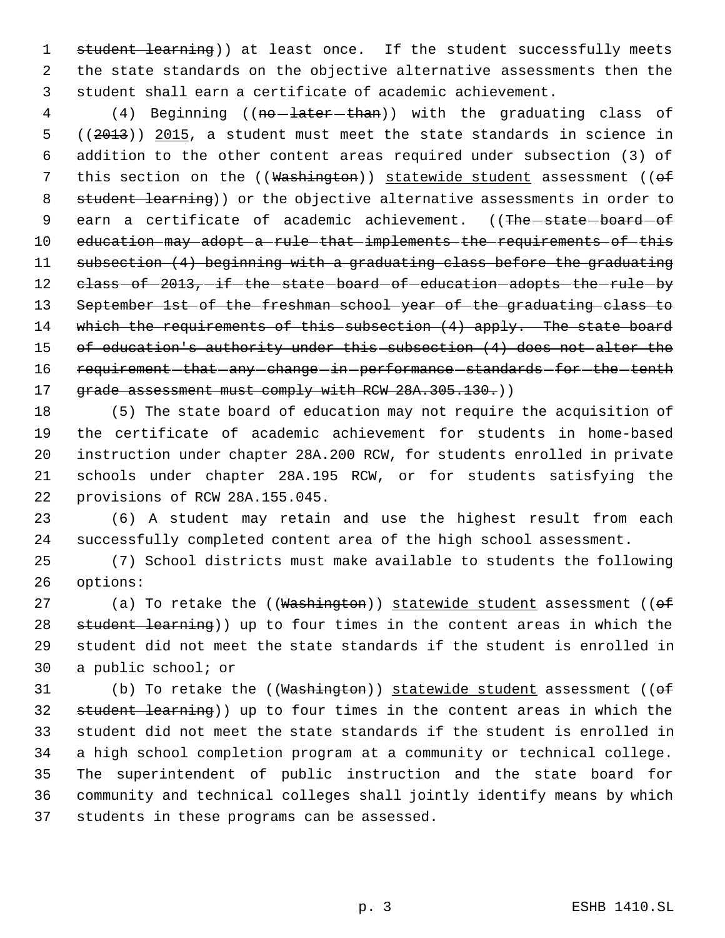1 student learning)) at least once. If the student successfully meets 2 the state standards on the objective alternative assessments then the 3 student shall earn a certificate of academic achievement.

4 (4) Beginning ((no - later than)) with the graduating class of 5 ((2013)) 2015, a student must meet the state standards in science in 6 addition to the other content areas required under subsection (3) of 7 this section on the ((Washington)) statewide student assessment ((of 8 student learning)) or the objective alternative assessments in order to 9 earn a certificate of academic achievement. ((The state board of 10 education may adopt a rule that implements the requirements of this 11 subsection (4) beginning with a graduating class before the graduating 12 class of  $-2013$ , if the state board of education adopts the rule by 13 September 1st of the freshman school year of the graduating class to 14 which the requirements of this subsection (4) apply. The state board 15 of education's authority under this subsection (4) does not alter the 16 requirement that any change in performance standards for the tenth 17 grade assessment must comply with RCW 28A.305.130.)

 (5) The state board of education may not require the acquisition of the certificate of academic achievement for students in home-based instruction under chapter 28A.200 RCW, for students enrolled in private schools under chapter 28A.195 RCW, or for students satisfying the provisions of RCW 28A.155.045.

23 (6) A student may retain and use the highest result from each 24 successfully completed content area of the high school assessment.

25 (7) School districts must make available to students the following 26 options:

 $(a)$  To retake the ((Washington)) statewide student assessment (( $\sigma$ f 28 student learning)) up to four times in the content areas in which the student did not meet the state standards if the student is enrolled in a public school; or

31 (b) To retake the  $((\text{Washington}))$  statewide student assessment  $((\text{of }$  student learning)) up to four times in the content areas in which the student did not meet the state standards if the student is enrolled in a high school completion program at a community or technical college. The superintendent of public instruction and the state board for community and technical colleges shall jointly identify means by which students in these programs can be assessed.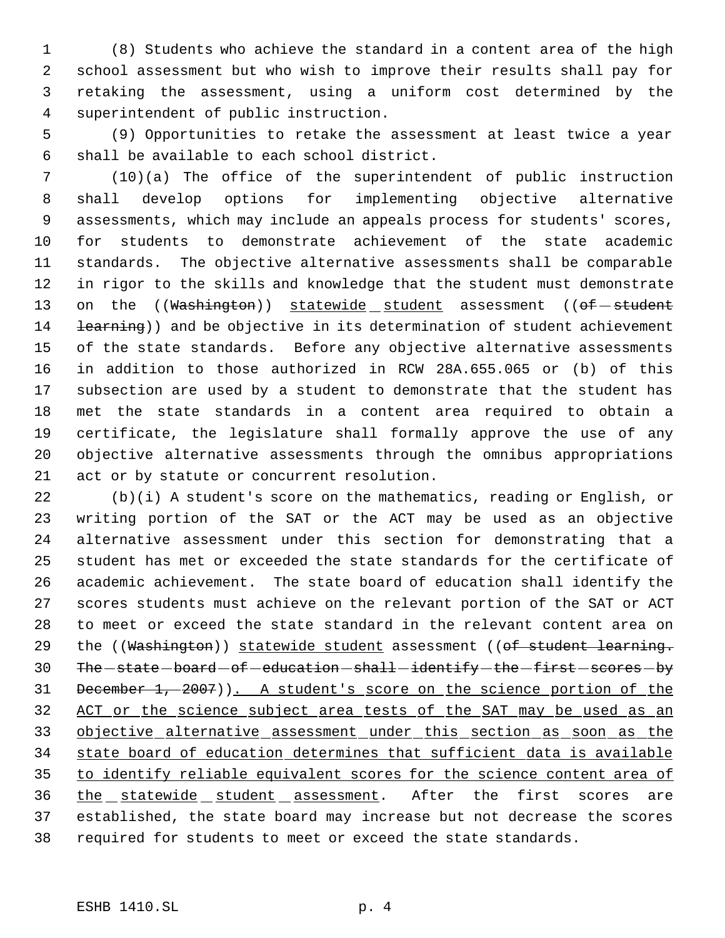(8) Students who achieve the standard in a content area of the high school assessment but who wish to improve their results shall pay for retaking the assessment, using a uniform cost determined by the superintendent of public instruction.

 (9) Opportunities to retake the assessment at least twice a year shall be available to each school district.

 (10)(a) The office of the superintendent of public instruction shall develop options for implementing objective alternative assessments, which may include an appeals process for students' scores, for students to demonstrate achievement of the state academic standards. The objective alternative assessments shall be comparable in rigor to the skills and knowledge that the student must demonstrate 13 on the ((Washington)) statewide student assessment ((of-student 14 <del>learning</del>)) and be objective in its determination of student achievement of the state standards. Before any objective alternative assessments in addition to those authorized in RCW 28A.655.065 or (b) of this subsection are used by a student to demonstrate that the student has met the state standards in a content area required to obtain a certificate, the legislature shall formally approve the use of any objective alternative assessments through the omnibus appropriations act or by statute or concurrent resolution.

 (b)(i) A student's score on the mathematics, reading or English, or writing portion of the SAT or the ACT may be used as an objective alternative assessment under this section for demonstrating that a student has met or exceeded the state standards for the certificate of academic achievement. The state board of education shall identify the scores students must achieve on the relevant portion of the SAT or ACT to meet or exceed the state standard in the relevant content area on 29 the ((Washington)) statewide student assessment ((of student learning. 30 The -state -board -of -education -shall -identify -the -first -scores -by December 1, 2007)). A student's score on the science portion of the 32 ACT or the science subject area tests of the SAT may be used as an objective alternative assessment under this section as soon as the state board of education determines that sufficient data is available to identify reliable equivalent scores for the science content area of the statewide student assessment. After the first scores are established, the state board may increase but not decrease the scores 38 required for students to meet or exceed the state standards.

### ESHB 1410.SL p. 4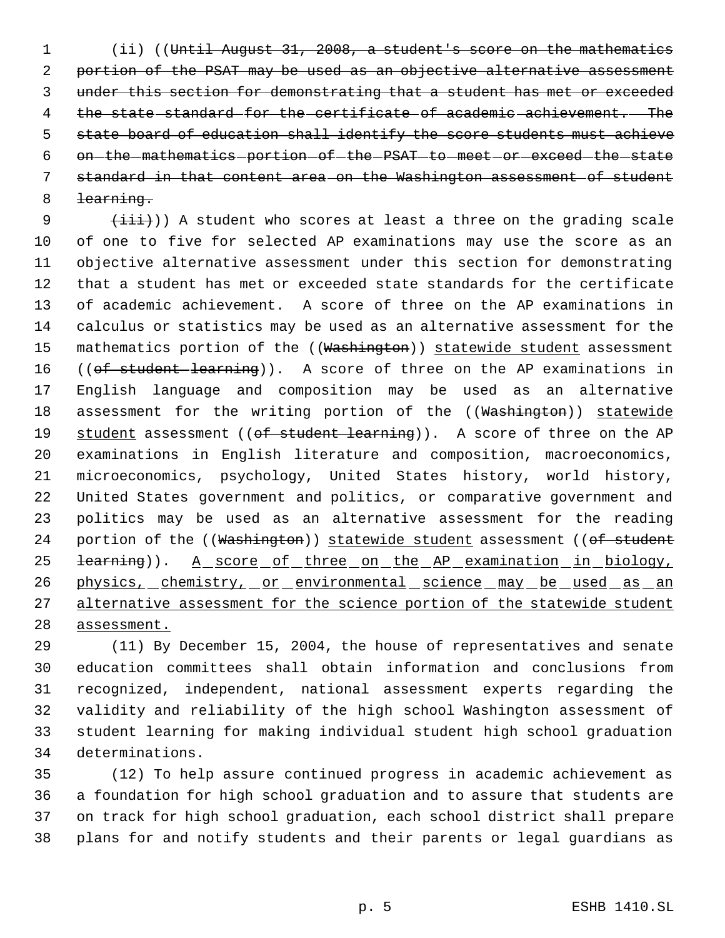(ii) ((Until August 31, 2008, a student's score on the mathematics 2 portion of the PSAT may be used as an objective alternative assessment under this section for demonstrating that a student has met or exceeded the state standard for the certificate of academic achievement. The 5 state board of education shall identify the score students must achieve 6 on the mathematics portion of the PSAT to meet or exceed the state standard in that content area on the Washington assessment of student learning.

 $(\pm i\pm i)$ ) A student who scores at least a three on the grading scale of one to five for selected AP examinations may use the score as an objective alternative assessment under this section for demonstrating that a student has met or exceeded state standards for the certificate of academic achievement. A score of three on the AP examinations in calculus or statistics may be used as an alternative assessment for the 15 mathematics portion of the ((Washington)) statewide student assessment 16 ((of student learning)). A score of three on the AP examinations in English language and composition may be used as an alternative 18 assessment for the writing portion of the ((Washington)) statewide 19 student assessment ((of student learning)). A score of three on the AP examinations in English literature and composition, macroeconomics, microeconomics, psychology, United States history, world history, United States government and politics, or comparative government and politics may be used as an alternative assessment for the reading 24 portion of the ((Washington)) statewide student assessment ((of student 25 <del>learning</del>)). A score of three on the AP examination in biology, 26 physics, chemistry, or environmental science may be used as an 27 alternative assessment for the science portion of the statewide student assessment.

 (11) By December 15, 2004, the house of representatives and senate education committees shall obtain information and conclusions from recognized, independent, national assessment experts regarding the validity and reliability of the high school Washington assessment of student learning for making individual student high school graduation determinations.

 (12) To help assure continued progress in academic achievement as a foundation for high school graduation and to assure that students are on track for high school graduation, each school district shall prepare plans for and notify students and their parents or legal guardians as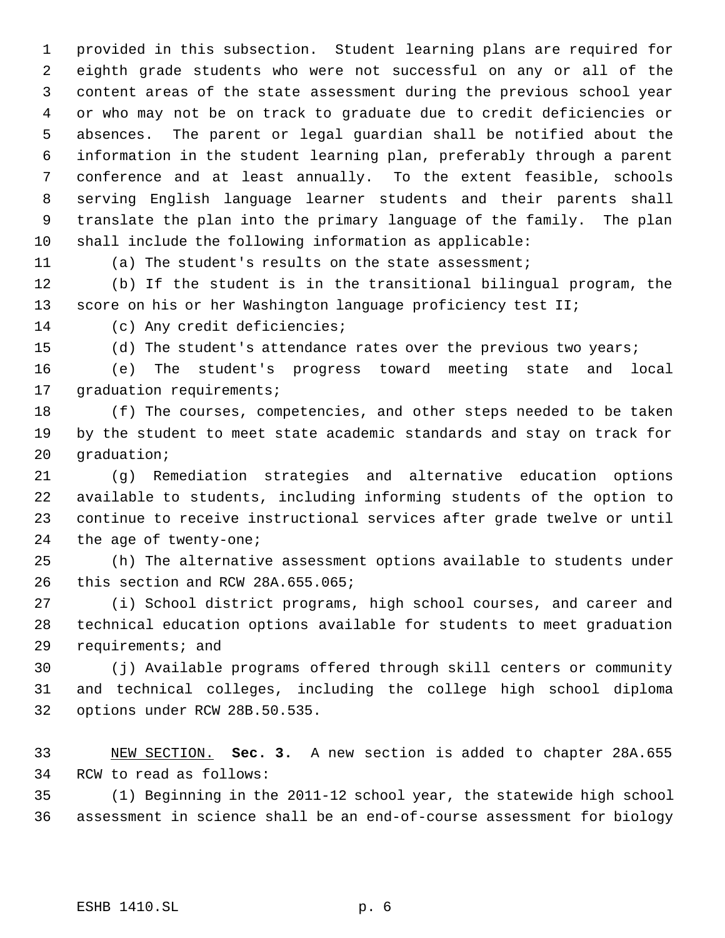provided in this subsection. Student learning plans are required for eighth grade students who were not successful on any or all of the content areas of the state assessment during the previous school year or who may not be on track to graduate due to credit deficiencies or absences. The parent or legal guardian shall be notified about the information in the student learning plan, preferably through a parent conference and at least annually. To the extent feasible, schools serving English language learner students and their parents shall translate the plan into the primary language of the family. The plan shall include the following information as applicable:

(a) The student's results on the state assessment;

 (b) If the student is in the transitional bilingual program, the 13 score on his or her Washington language proficiency test II;

(c) Any credit deficiencies;

(d) The student's attendance rates over the previous two years;

 (e) The student's progress toward meeting state and local 17 graduation requirements;

 (f) The courses, competencies, and other steps needed to be taken by the student to meet state academic standards and stay on track for graduation;

 (g) Remediation strategies and alternative education options available to students, including informing students of the option to continue to receive instructional services after grade twelve or until the age of twenty-one;

 (h) The alternative assessment options available to students under this section and RCW 28A.655.065;

 (i) School district programs, high school courses, and career and technical education options available for students to meet graduation requirements; and

 (j) Available programs offered through skill centers or community and technical colleges, including the college high school diploma options under RCW 28B.50.535.

 NEW SECTION. **Sec. 3.** A new section is added to chapter 28A.655 RCW to read as follows:

 (1) Beginning in the 2011-12 school year, the statewide high school assessment in science shall be an end-of-course assessment for biology